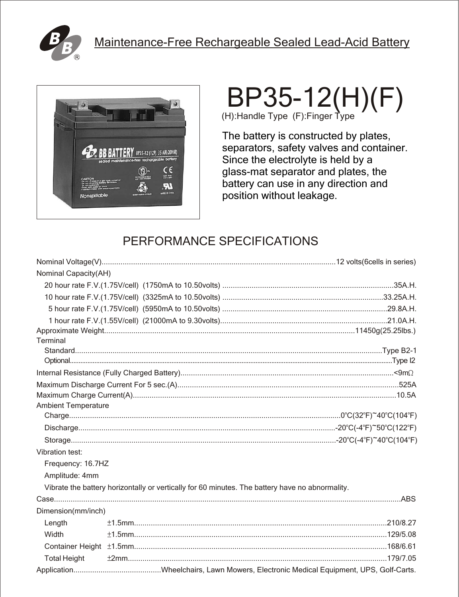



# $BPS5-12(H)(F)$

The battery is constructed by plates, separators, safety valves and container. Since the electrolyte is held by a glass-mat separator and plates, the battery can use in any direction and position without leakage.

# PERFORMANCE SPECIFICATIONS

| Nominal Capacity(AH) |                                                                                                 |  |  |  |  |
|----------------------|-------------------------------------------------------------------------------------------------|--|--|--|--|
|                      |                                                                                                 |  |  |  |  |
|                      |                                                                                                 |  |  |  |  |
|                      |                                                                                                 |  |  |  |  |
|                      |                                                                                                 |  |  |  |  |
|                      |                                                                                                 |  |  |  |  |
| Terminal             |                                                                                                 |  |  |  |  |
|                      |                                                                                                 |  |  |  |  |
|                      |                                                                                                 |  |  |  |  |
|                      |                                                                                                 |  |  |  |  |
|                      | <b>Ambient Temperature</b>                                                                      |  |  |  |  |
|                      |                                                                                                 |  |  |  |  |
|                      |                                                                                                 |  |  |  |  |
|                      |                                                                                                 |  |  |  |  |
|                      |                                                                                                 |  |  |  |  |
| Vibration test:      |                                                                                                 |  |  |  |  |
| Frequency: 16.7HZ    |                                                                                                 |  |  |  |  |
| Amplitude: 4mm       |                                                                                                 |  |  |  |  |
|                      | Vibrate the battery horizontally or vertically for 60 minutes. The battery have no abnormality. |  |  |  |  |
|                      |                                                                                                 |  |  |  |  |
| Dimension(mm/inch)   |                                                                                                 |  |  |  |  |
| Length               |                                                                                                 |  |  |  |  |
| Width                |                                                                                                 |  |  |  |  |
|                      |                                                                                                 |  |  |  |  |
|                      |                                                                                                 |  |  |  |  |
| <b>Total Height</b>  |                                                                                                 |  |  |  |  |
|                      |                                                                                                 |  |  |  |  |